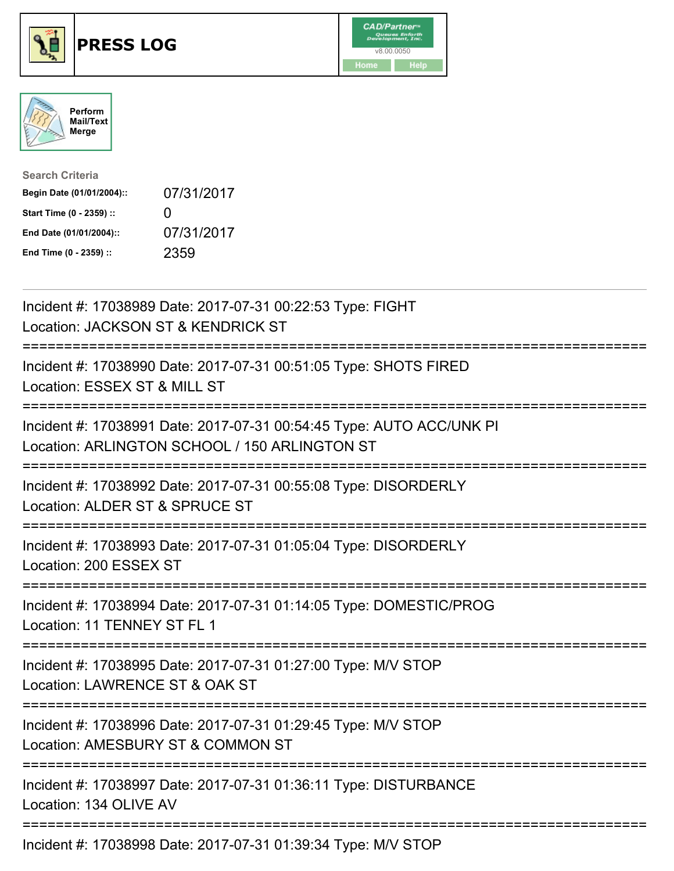





| <b>Search Criteria</b>    |              |
|---------------------------|--------------|
| Begin Date (01/01/2004):: | 07/31/2017   |
| Start Time (0 - 2359) ::  | $\mathbf{I}$ |
| End Date (01/01/2004)::   | 07/31/2017   |
| End Time (0 - 2359) ::    | 2359         |

| Incident #: 17038989 Date: 2017-07-31 00:22:53 Type: FIGHT<br>Location: JACKSON ST & KENDRICK ST                                    |
|-------------------------------------------------------------------------------------------------------------------------------------|
| Incident #: 17038990 Date: 2017-07-31 00:51:05 Type: SHOTS FIRED<br>Location: ESSEX ST & MILL ST                                    |
| Incident #: 17038991 Date: 2017-07-31 00:54:45 Type: AUTO ACC/UNK PI<br>Location: ARLINGTON SCHOOL / 150 ARLINGTON ST               |
| Incident #: 17038992 Date: 2017-07-31 00:55:08 Type: DISORDERLY<br>Location: ALDER ST & SPRUCE ST                                   |
| Incident #: 17038993 Date: 2017-07-31 01:05:04 Type: DISORDERLY<br>Location: 200 ESSEX ST<br>---------------------                  |
| Incident #: 17038994 Date: 2017-07-31 01:14:05 Type: DOMESTIC/PROG<br>Location: 11 TENNEY ST FL 1                                   |
| Incident #: 17038995 Date: 2017-07-31 01:27:00 Type: M/V STOP<br>Location: LAWRENCE ST & OAK ST                                     |
| Incident #: 17038996 Date: 2017-07-31 01:29:45 Type: M/V STOP<br>Location: AMESBURY ST & COMMON ST<br>============================= |
| Incident #: 17038997 Date: 2017-07-31 01:36:11 Type: DISTURBANCE<br>Location: 134 OLIVE AV                                          |
| Incident #: 17038998 Date: 2017-07-31 01:39:34 Type: M/V STOP                                                                       |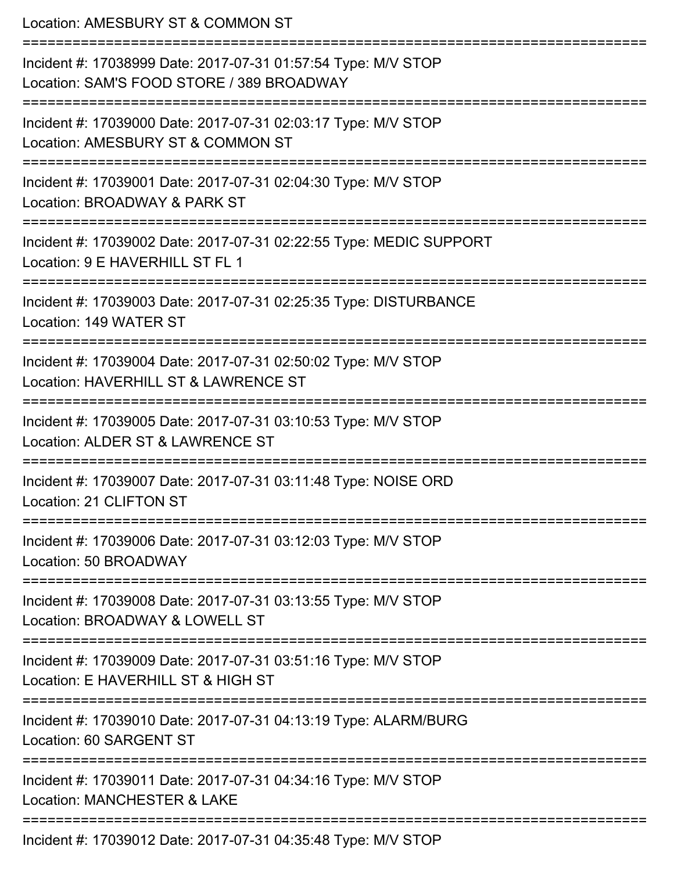| Location: AMESBURY ST & COMMON ST                                                                                     |
|-----------------------------------------------------------------------------------------------------------------------|
| Incident #: 17038999 Date: 2017-07-31 01:57:54 Type: M/V STOP<br>Location: SAM'S FOOD STORE / 389 BROADWAY            |
| Incident #: 17039000 Date: 2017-07-31 02:03:17 Type: M/V STOP<br>Location: AMESBURY ST & COMMON ST                    |
| Incident #: 17039001 Date: 2017-07-31 02:04:30 Type: M/V STOP<br>Location: BROADWAY & PARK ST<br>:2222222222222222222 |
| Incident #: 17039002 Date: 2017-07-31 02:22:55 Type: MEDIC SUPPORT<br>Location: 9 E HAVERHILL ST FL 1                 |
| Incident #: 17039003 Date: 2017-07-31 02:25:35 Type: DISTURBANCE<br>Location: 149 WATER ST                            |
| Incident #: 17039004 Date: 2017-07-31 02:50:02 Type: M/V STOP<br>Location: HAVERHILL ST & LAWRENCE ST                 |
| Incident #: 17039005 Date: 2017-07-31 03:10:53 Type: M/V STOP<br>Location: ALDER ST & LAWRENCE ST                     |
| Incident #: 17039007 Date: 2017-07-31 03:11:48 Type: NOISE ORD<br>Location: 21 CLIFTON ST                             |
| Incident #: 17039006 Date: 2017-07-31 03:12:03 Type: M/V STOP<br>Location: 50 BROADWAY                                |
| Incident #: 17039008 Date: 2017-07-31 03:13:55 Type: M/V STOP<br>Location: BROADWAY & LOWELL ST                       |
| Incident #: 17039009 Date: 2017-07-31 03:51:16 Type: M/V STOP<br>Location: E HAVERHILL ST & HIGH ST                   |
| Incident #: 17039010 Date: 2017-07-31 04:13:19 Type: ALARM/BURG<br>Location: 60 SARGENT ST                            |
| Incident #: 17039011 Date: 2017-07-31 04:34:16 Type: M/V STOP<br><b>Location: MANCHESTER &amp; LAKE</b>               |
| Inoidont #: 170200120                                                                                                 |

Incident #: 17039012 Date: 2017-07-31 04:35:48 Type: M/V STOP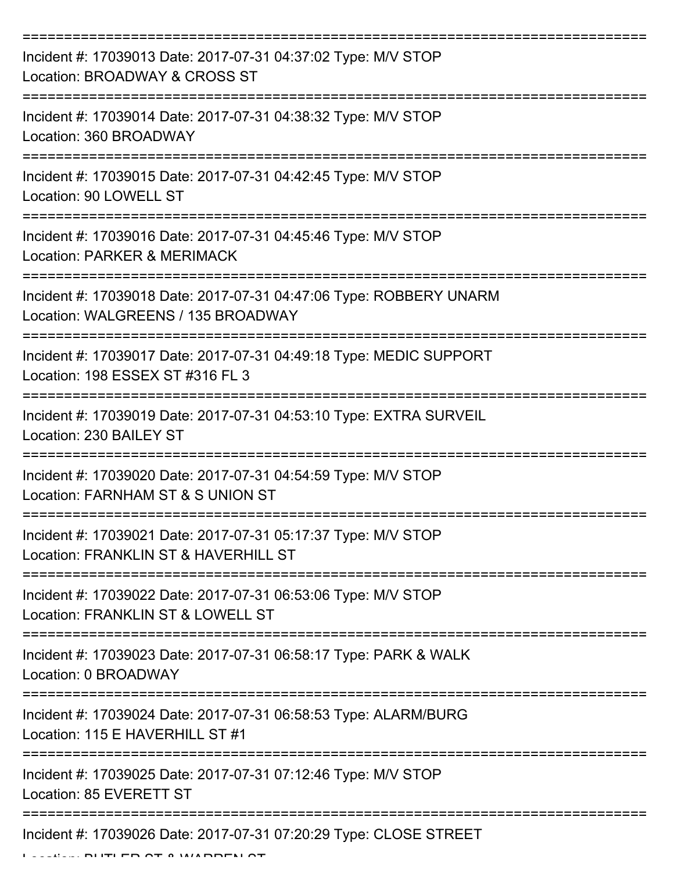| Incident #: 17039013 Date: 2017-07-31 04:37:02 Type: M/V STOP<br>Location: BROADWAY & CROSS ST           |
|----------------------------------------------------------------------------------------------------------|
| Incident #: 17039014 Date: 2017-07-31 04:38:32 Type: M/V STOP<br>Location: 360 BROADWAY                  |
| Incident #: 17039015 Date: 2017-07-31 04:42:45 Type: M/V STOP<br>Location: 90 LOWELL ST                  |
| Incident #: 17039016 Date: 2017-07-31 04:45:46 Type: M/V STOP<br>Location: PARKER & MERIMACK             |
| Incident #: 17039018 Date: 2017-07-31 04:47:06 Type: ROBBERY UNARM<br>Location: WALGREENS / 135 BROADWAY |
| Incident #: 17039017 Date: 2017-07-31 04:49:18 Type: MEDIC SUPPORT<br>Location: 198 ESSEX ST #316 FL 3   |
| Incident #: 17039019 Date: 2017-07-31 04:53:10 Type: EXTRA SURVEIL<br>Location: 230 BAILEY ST            |
| Incident #: 17039020 Date: 2017-07-31 04:54:59 Type: M/V STOP<br>Location: FARNHAM ST & S UNION ST       |
| Incident #: 17039021 Date: 2017-07-31 05:17:37 Type: M/V STOP<br>Location: FRANKLIN ST & HAVERHILL ST    |
| Incident #: 17039022 Date: 2017-07-31 06:53:06 Type: M/V STOP<br>Location: FRANKLIN ST & LOWELL ST       |
| Incident #: 17039023 Date: 2017-07-31 06:58:17 Type: PARK & WALK<br>Location: 0 BROADWAY                 |
| Incident #: 17039024 Date: 2017-07-31 06:58:53 Type: ALARM/BURG<br>Location: 115 E HAVERHILL ST #1       |
| Incident #: 17039025 Date: 2017-07-31 07:12:46 Type: M/V STOP<br>Location: 85 EVERETT ST                 |
| Incident #: 17039026 Date: 2017-07-31 07:20:29 Type: CLOSE STREET                                        |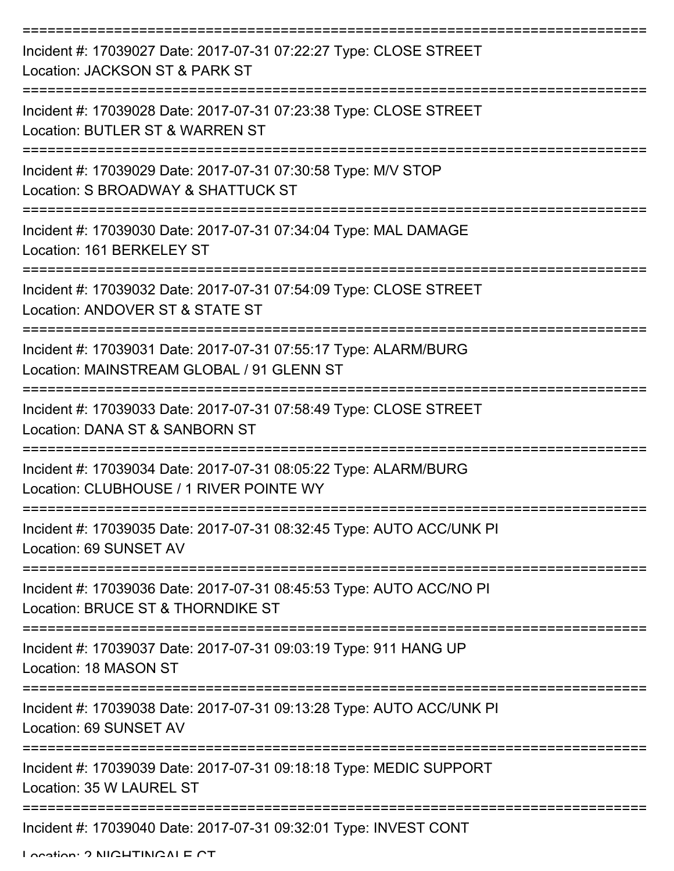| Incident #: 17039027 Date: 2017-07-31 07:22:27 Type: CLOSE STREET<br>Location: JACKSON ST & PARK ST                    |
|------------------------------------------------------------------------------------------------------------------------|
| Incident #: 17039028 Date: 2017-07-31 07:23:38 Type: CLOSE STREET<br>Location: BUTLER ST & WARREN ST                   |
| Incident #: 17039029 Date: 2017-07-31 07:30:58 Type: M/V STOP<br>Location: S BROADWAY & SHATTUCK ST<br>=============== |
| Incident #: 17039030 Date: 2017-07-31 07:34:04 Type: MAL DAMAGE<br>Location: 161 BERKELEY ST                           |
| Incident #: 17039032 Date: 2017-07-31 07:54:09 Type: CLOSE STREET<br>Location: ANDOVER ST & STATE ST                   |
| Incident #: 17039031 Date: 2017-07-31 07:55:17 Type: ALARM/BURG<br>Location: MAINSTREAM GLOBAL / 91 GLENN ST           |
| Incident #: 17039033 Date: 2017-07-31 07:58:49 Type: CLOSE STREET<br>Location: DANA ST & SANBORN ST                    |
| Incident #: 17039034 Date: 2017-07-31 08:05:22 Type: ALARM/BURG<br>Location: CLUBHOUSE / 1 RIVER POINTE WY             |
| Incident #: 17039035 Date: 2017-07-31 08:32:45 Type: AUTO ACC/UNK PI<br>Location: 69 SUNSET AV                         |
| Incident #: 17039036 Date: 2017-07-31 08:45:53 Type: AUTO ACC/NO PI<br>Location: BRUCE ST & THORNDIKE ST               |
| Incident #: 17039037 Date: 2017-07-31 09:03:19 Type: 911 HANG UP<br>Location: 18 MASON ST                              |
| Incident #: 17039038 Date: 2017-07-31 09:13:28 Type: AUTO ACC/UNK PI<br>Location: 69 SUNSET AV                         |
| Incident #: 17039039 Date: 2017-07-31 09:18:18 Type: MEDIC SUPPORT<br>Location: 35 W LAUREL ST                         |
| Incident #: 17039040 Date: 2017-07-31 09:32:01 Type: INVEST CONT                                                       |

Location: 2 NIGHTINGALE CT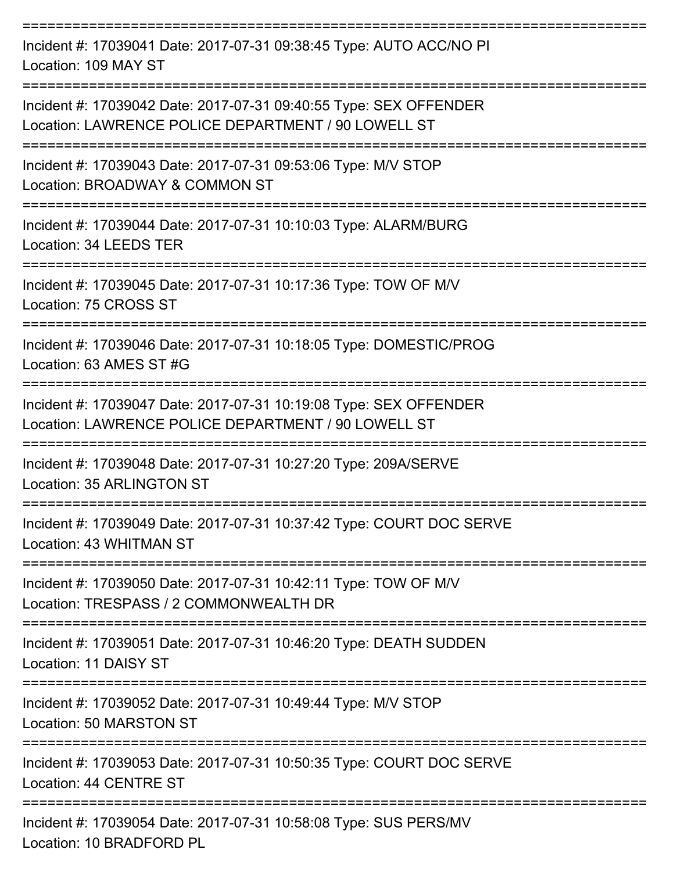| Incident #: 17039041 Date: 2017-07-31 09:38:45 Type: AUTO ACC/NO PI<br>Location: 109 MAY ST                                    |
|--------------------------------------------------------------------------------------------------------------------------------|
| Incident #: 17039042 Date: 2017-07-31 09:40:55 Type: SEX OFFENDER<br>Location: LAWRENCE POLICE DEPARTMENT / 90 LOWELL ST       |
| Incident #: 17039043 Date: 2017-07-31 09:53:06 Type: M/V STOP<br>Location: BROADWAY & COMMON ST                                |
| Incident #: 17039044 Date: 2017-07-31 10:10:03 Type: ALARM/BURG<br>Location: 34 LEEDS TER                                      |
| Incident #: 17039045 Date: 2017-07-31 10:17:36 Type: TOW OF M/V<br>Location: 75 CROSS ST                                       |
| Incident #: 17039046 Date: 2017-07-31 10:18:05 Type: DOMESTIC/PROG<br>Location: 63 AMES ST #G                                  |
| Incident #: 17039047 Date: 2017-07-31 10:19:08 Type: SEX OFFENDER<br>Location: LAWRENCE POLICE DEPARTMENT / 90 LOWELL ST       |
| Incident #: 17039048 Date: 2017-07-31 10:27:20 Type: 209A/SERVE<br>Location: 35 ARLINGTON ST                                   |
| Incident #: 17039049 Date: 2017-07-31 10:37:42 Type: COURT DOC SERVE<br>Location: 43 WHITMAN ST                                |
| Incident #: 17039050 Date: 2017-07-31 10:42:11 Type: TOW OF M/V<br>Location: TRESPASS / 2 COMMONWEALTH DR                      |
| Incident #: 17039051 Date: 2017-07-31 10:46:20 Type: DEATH SUDDEN<br>Location: 11 DAISY ST                                     |
| ----------------------------------<br>Incident #: 17039052 Date: 2017-07-31 10:49:44 Type: M/V STOP<br>Location: 50 MARSTON ST |
| Incident #: 17039053 Date: 2017-07-31 10:50:35 Type: COURT DOC SERVE<br>Location: 44 CENTRE ST                                 |
| Incident #: 17039054 Date: 2017-07-31 10:58:08 Type: SUS PERS/MV<br>Location: 10 BRADFORD PL                                   |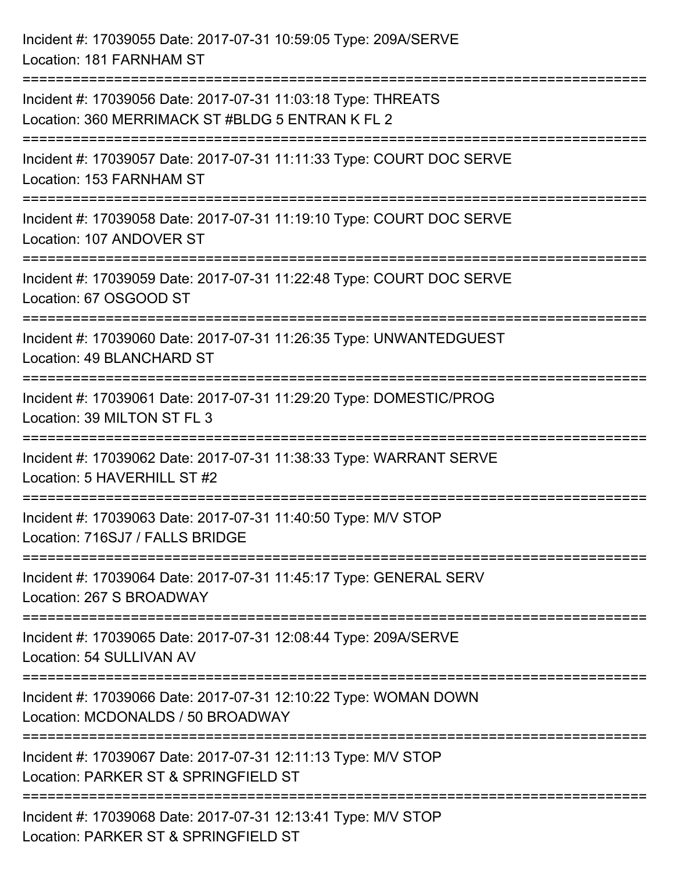Incident #: 17039055 Date: 2017-07-31 10:59:05 Type: 209A/SERVE Location: 181 FARNHAM ST =========================================================================== Incident #: 17039056 Date: 2017-07-31 11:03:18 Type: THREATS Location: 360 MERRIMACK ST #BLDG 5 ENTRAN K FL 2 =========================================================================== Incident #: 17039057 Date: 2017-07-31 11:11:33 Type: COURT DOC SERVE Location: 153 FARNHAM ST =========================================================================== Incident #: 17039058 Date: 2017-07-31 11:19:10 Type: COURT DOC SERVE Location: 107 ANDOVER ST =========================================================================== Incident #: 17039059 Date: 2017-07-31 11:22:48 Type: COURT DOC SERVE Location: 67 OSGOOD ST =========================================================================== Incident #: 17039060 Date: 2017-07-31 11:26:35 Type: UNWANTEDGUEST Location: 49 BLANCHARD ST =========================================================================== Incident #: 17039061 Date: 2017-07-31 11:29:20 Type: DOMESTIC/PROG Location: 39 MILTON ST FL 3 =========================================================================== Incident #: 17039062 Date: 2017-07-31 11:38:33 Type: WARRANT SERVE Location: 5 HAVERHILL ST #2 =========================================================================== Incident #: 17039063 Date: 2017-07-31 11:40:50 Type: M/V STOP Location: 716SJ7 / FALLS BRIDGE =========================================================================== Incident #: 17039064 Date: 2017-07-31 11:45:17 Type: GENERAL SERV Location: 267 S BROADWAY =========================================================================== Incident #: 17039065 Date: 2017-07-31 12:08:44 Type: 209A/SERVE Location: 54 SULLIVAN AV =========================================================================== Incident #: 17039066 Date: 2017-07-31 12:10:22 Type: WOMAN DOWN Location: MCDONALDS / 50 BROADWAY =========================================================================== Incident #: 17039067 Date: 2017-07-31 12:11:13 Type: M/V STOP Location: PARKER ST & SPRINGFIELD ST =========================================================================== Incident #: 17039068 Date: 2017-07-31 12:13:41 Type: M/V STOP Location: PARKER ST & SPRINGFIFLD ST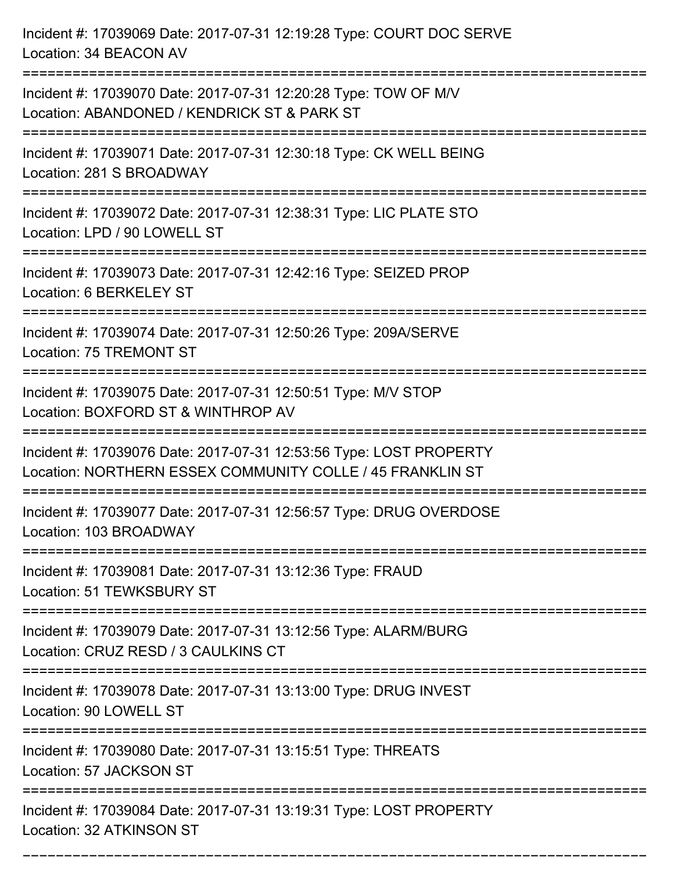| Incident #: 17039069 Date: 2017-07-31 12:19:28 Type: COURT DOC SERVE<br>Location: 34 BEACON AV                                  |
|---------------------------------------------------------------------------------------------------------------------------------|
| Incident #: 17039070 Date: 2017-07-31 12:20:28 Type: TOW OF M/V<br>Location: ABANDONED / KENDRICK ST & PARK ST                  |
| Incident #: 17039071 Date: 2017-07-31 12:30:18 Type: CK WELL BEING<br>Location: 281 S BROADWAY                                  |
| Incident #: 17039072 Date: 2017-07-31 12:38:31 Type: LIC PLATE STO<br>Location: LPD / 90 LOWELL ST                              |
| Incident #: 17039073 Date: 2017-07-31 12:42:16 Type: SEIZED PROP<br>Location: 6 BERKELEY ST                                     |
| Incident #: 17039074 Date: 2017-07-31 12:50:26 Type: 209A/SERVE<br>Location: 75 TREMONT ST                                      |
| Incident #: 17039075 Date: 2017-07-31 12:50:51 Type: M/V STOP<br>Location: BOXFORD ST & WINTHROP AV                             |
| Incident #: 17039076 Date: 2017-07-31 12:53:56 Type: LOST PROPERTY<br>Location: NORTHERN ESSEX COMMUNITY COLLE / 45 FRANKLIN ST |
| Incident #: 17039077 Date: 2017-07-31 12:56:57 Type: DRUG OVERDOSE<br>Location: 103 BROADWAY                                    |
| Incident #: 17039081 Date: 2017-07-31 13:12:36 Type: FRAUD<br>Location: 51 TEWKSBURY ST<br>==================================== |
| Incident #: 17039079 Date: 2017-07-31 13:12:56 Type: ALARM/BURG<br>Location: CRUZ RESD / 3 CAULKINS CT                          |
| Incident #: 17039078 Date: 2017-07-31 13:13:00 Type: DRUG INVEST<br>Location: 90 LOWELL ST<br>============================      |
| Incident #: 17039080 Date: 2017-07-31 13:15:51 Type: THREATS<br>Location: 57 JACKSON ST                                         |
| Incident #: 17039084 Date: 2017-07-31 13:19:31 Type: LOST PROPERTY<br>Location: 32 ATKINSON ST                                  |

===========================================================================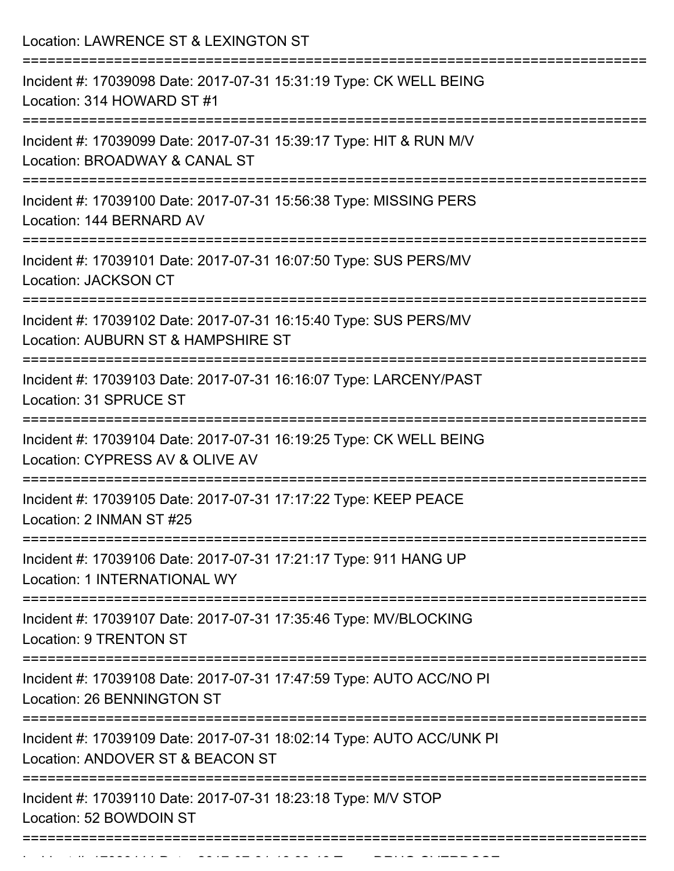| Location: LAWRENCE ST & LEXINGTON ST                                                                                               |
|------------------------------------------------------------------------------------------------------------------------------------|
| Incident #: 17039098 Date: 2017-07-31 15:31:19 Type: CK WELL BEING<br>Location: 314 HOWARD ST #1                                   |
| Incident #: 17039099 Date: 2017-07-31 15:39:17 Type: HIT & RUN M/V<br>Location: BROADWAY & CANAL ST                                |
| Incident #: 17039100 Date: 2017-07-31 15:56:38 Type: MISSING PERS<br>Location: 144 BERNARD AV                                      |
| Incident #: 17039101 Date: 2017-07-31 16:07:50 Type: SUS PERS/MV<br><b>Location: JACKSON CT</b>                                    |
| Incident #: 17039102 Date: 2017-07-31 16:15:40 Type: SUS PERS/MV<br>Location: AUBURN ST & HAMPSHIRE ST                             |
| Incident #: 17039103 Date: 2017-07-31 16:16:07 Type: LARCENY/PAST<br>Location: 31 SPRUCE ST                                        |
| =========================<br>Incident #: 17039104 Date: 2017-07-31 16:19:25 Type: CK WELL BEING<br>Location: CYPRESS AV & OLIVE AV |
| Incident #: 17039105 Date: 2017-07-31 17:17:22 Type: KEEP PEACE<br>Location: 2 INMAN ST #25                                        |
| Incident #: 17039106 Date: 2017-07-31 17:21:17 Type: 911 HANG UP<br><b>Location: 1 INTERNATIONAL WY</b>                            |
| Incident #: 17039107 Date: 2017-07-31 17:35:46 Type: MV/BLOCKING<br>Location: 9 TRENTON ST                                         |
| ====================<br>Incident #: 17039108 Date: 2017-07-31 17:47:59 Type: AUTO ACC/NO PI<br><b>Location: 26 BENNINGTON ST</b>   |
| Incident #: 17039109 Date: 2017-07-31 18:02:14 Type: AUTO ACC/UNK PI<br>Location: ANDOVER ST & BEACON ST                           |
| Incident #: 17039110 Date: 2017-07-31 18:23:18 Type: M/V STOP<br>Location: 52 BOWDOIN ST                                           |

Incident #: 17039111 Date: 2017 07 31 18:33:46 Type: DRUG Over DRUG OVERDOSE.<br>.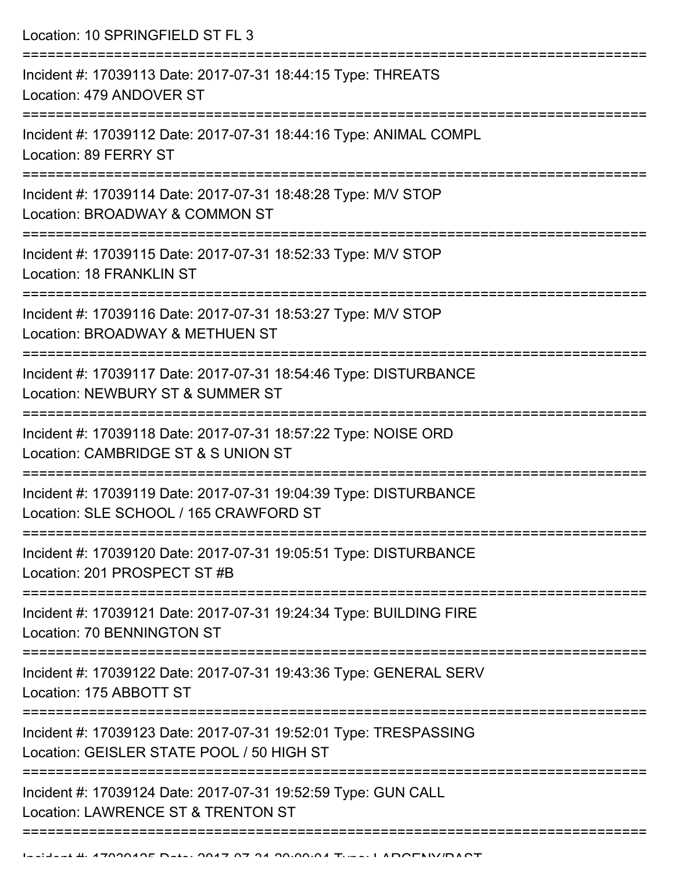Location: 10 SPRINGFIELD ST FL 3 =========================================================================== Incident #: 17039113 Date: 2017-07-31 18:44:15 Type: THREATS Location: 479 ANDOVER ST =========================================================================== Incident #: 17039112 Date: 2017-07-31 18:44:16 Type: ANIMAL COMPL Location: 89 FERRY ST =========================================================================== Incident #: 17039114 Date: 2017-07-31 18:48:28 Type: M/V STOP Location: BROADWAY & COMMON ST =========================================================================== Incident #: 17039115 Date: 2017-07-31 18:52:33 Type: M/V STOP Location: 18 FRANKLIN ST =========================================================================== Incident #: 17039116 Date: 2017-07-31 18:53:27 Type: M/V STOP Location: BROADWAY & METHUEN ST =========================================================================== Incident #: 17039117 Date: 2017-07-31 18:54:46 Type: DISTURBANCE Location: NEWBURY ST & SUMMER ST =========================================================================== Incident #: 17039118 Date: 2017-07-31 18:57:22 Type: NOISE ORD Location: CAMBRIDGE ST & S UNION ST =========================================================================== Incident #: 17039119 Date: 2017-07-31 19:04:39 Type: DISTURBANCE Location: SLE SCHOOL / 165 CRAWFORD ST =========================================================================== Incident #: 17039120 Date: 2017-07-31 19:05:51 Type: DISTURBANCE Location: 201 PROSPECT ST #B =========================================================================== Incident #: 17039121 Date: 2017-07-31 19:24:34 Type: BUILDING FIRE Location: 70 BENNINGTON ST =========================================================================== Incident #: 17039122 Date: 2017-07-31 19:43:36 Type: GENERAL SERV Location: 175 ABBOTT ST =========================================================================== Incident #: 17039123 Date: 2017-07-31 19:52:01 Type: TRESPASSING Location: GEISLER STATE POOL / 50 HIGH ST =========================================================================== Incident #: 17039124 Date: 2017-07-31 19:52:59 Type: GUN CALL Location: LAWRENCE ST & TRENTON ST ===========================================================================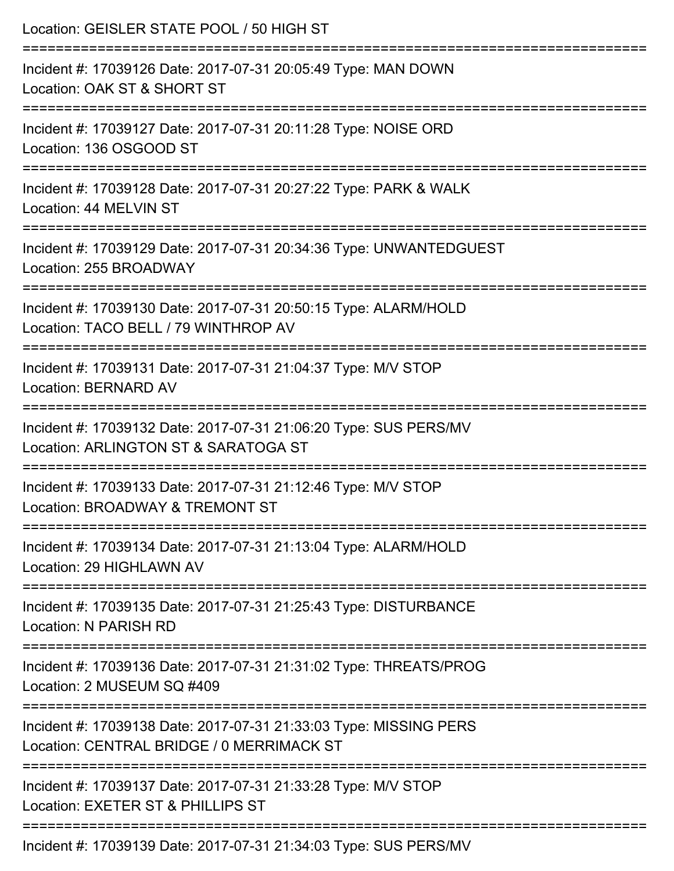| Location: GEISLER STATE POOL / 50 HIGH ST                                                                                     |
|-------------------------------------------------------------------------------------------------------------------------------|
| Incident #: 17039126 Date: 2017-07-31 20:05:49 Type: MAN DOWN<br>Location: OAK ST & SHORT ST<br>==========================    |
| Incident #: 17039127 Date: 2017-07-31 20:11:28 Type: NOISE ORD<br>Location: 136 OSGOOD ST                                     |
| Incident #: 17039128 Date: 2017-07-31 20:27:22 Type: PARK & WALK<br>Location: 44 MELVIN ST<br>:============================== |
| Incident #: 17039129 Date: 2017-07-31 20:34:36 Type: UNWANTEDGUEST<br>Location: 255 BROADWAY                                  |
| Incident #: 17039130 Date: 2017-07-31 20:50:15 Type: ALARM/HOLD<br>Location: TACO BELL / 79 WINTHROP AV                       |
| Incident #: 17039131 Date: 2017-07-31 21:04:37 Type: M/V STOP<br><b>Location: BERNARD AV</b>                                  |
| Incident #: 17039132 Date: 2017-07-31 21:06:20 Type: SUS PERS/MV<br>Location: ARLINGTON ST & SARATOGA ST                      |
| Incident #: 17039133 Date: 2017-07-31 21:12:46 Type: M/V STOP<br>Location: BROADWAY & TREMONT ST                              |
| Incident #: 17039134 Date: 2017-07-31 21:13:04 Type: ALARM/HOLD<br>Location: 29 HIGHLAWN AV                                   |
| Incident #: 17039135 Date: 2017-07-31 21:25:43 Type: DISTURBANCE<br>Location: N PARISH RD                                     |
| Incident #: 17039136 Date: 2017-07-31 21:31:02 Type: THREATS/PROG<br>Location: 2 MUSEUM SQ #409                               |
| Incident #: 17039138 Date: 2017-07-31 21:33:03 Type: MISSING PERS<br>Location: CENTRAL BRIDGE / 0 MERRIMACK ST                |
| Incident #: 17039137 Date: 2017-07-31 21:33:28 Type: M/V STOP<br>Location: EXETER ST & PHILLIPS ST                            |
| Incident #: 17039139 Date: 2017-07-31 21:34:03 Type: SUS PERS/MV                                                              |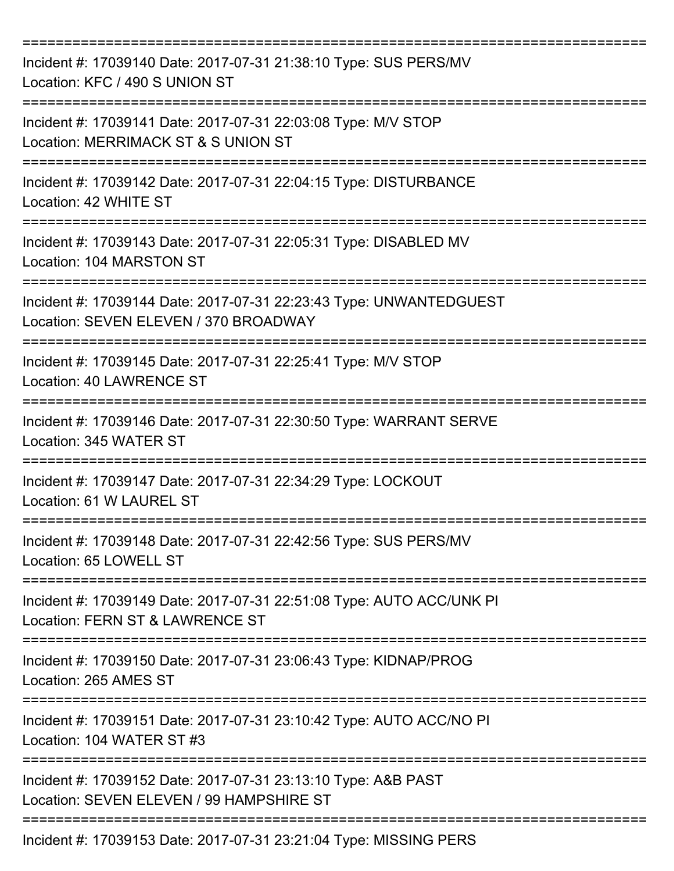| Incident #: 17039140 Date: 2017-07-31 21:38:10 Type: SUS PERS/MV<br>Location: KFC / 490 S UNION ST                                      |
|-----------------------------------------------------------------------------------------------------------------------------------------|
| Incident #: 17039141 Date: 2017-07-31 22:03:08 Type: M/V STOP<br>Location: MERRIMACK ST & S UNION ST                                    |
| Incident #: 17039142 Date: 2017-07-31 22:04:15 Type: DISTURBANCE<br>Location: 42 WHITE ST                                               |
| Incident #: 17039143 Date: 2017-07-31 22:05:31 Type: DISABLED MV<br>Location: 104 MARSTON ST<br>---------------<br>-------------------- |
| Incident #: 17039144 Date: 2017-07-31 22:23:43 Type: UNWANTEDGUEST<br>Location: SEVEN ELEVEN / 370 BROADWAY                             |
| Incident #: 17039145 Date: 2017-07-31 22:25:41 Type: M/V STOP<br>Location: 40 LAWRENCE ST                                               |
| Incident #: 17039146 Date: 2017-07-31 22:30:50 Type: WARRANT SERVE<br>Location: 345 WATER ST                                            |
| Incident #: 17039147 Date: 2017-07-31 22:34:29 Type: LOCKOUT<br>Location: 61 W LAUREL ST                                                |
| Incident #: 17039148 Date: 2017-07-31 22:42:56 Type: SUS PERS/MV<br>Location: 65 LOWELL ST                                              |
| Incident #: 17039149 Date: 2017-07-31 22:51:08 Type: AUTO ACC/UNK PI<br>Location: FERN ST & LAWRENCE ST                                 |
| Incident #: 17039150 Date: 2017-07-31 23:06:43 Type: KIDNAP/PROG<br>Location: 265 AMES ST                                               |
| Incident #: 17039151 Date: 2017-07-31 23:10:42 Type: AUTO ACC/NO PI<br>Location: 104 WATER ST #3                                        |
| Incident #: 17039152 Date: 2017-07-31 23:13:10 Type: A&B PAST<br>Location: SEVEN ELEVEN / 99 HAMPSHIRE ST                               |
| Incident #: 17039153 Date: 2017-07-31 23:21:04 Type: MISSING PERS                                                                       |